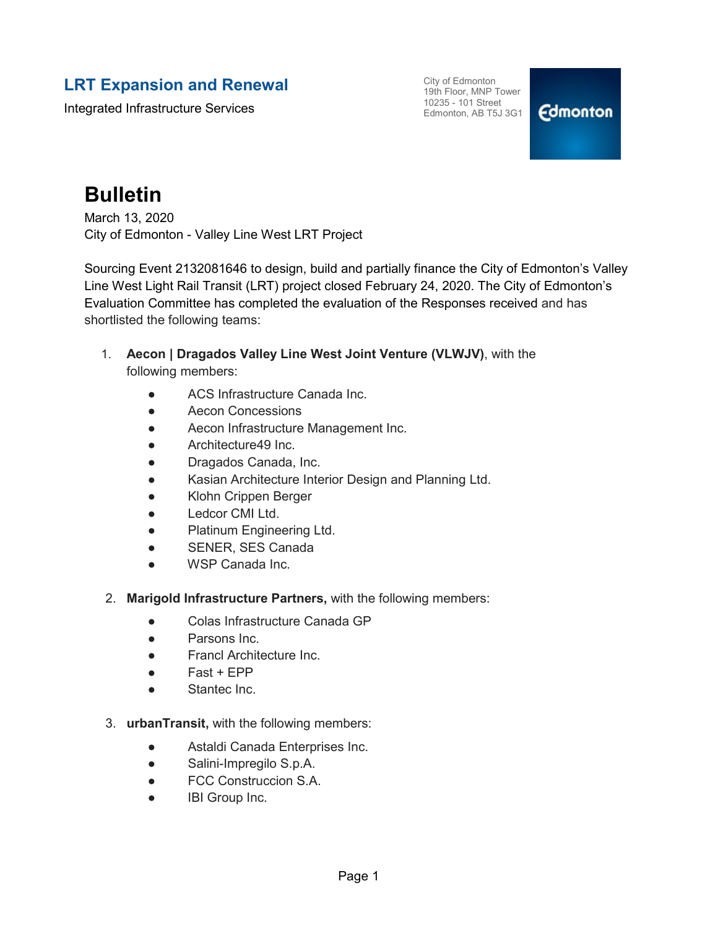### **LRT Expansion and Renewal**

Integrated Infrastructure Services

City of Edmonton 19th Floor, MNP Tower 10235 - 101 Street Edmonton, AB T5J 3G1

### **Edmonton**

## **Bulletin**

March 13, 2020 City of Edmonton - Valley Line West LRT Project

Sourcing Event 2132081646 to design, build and partially finance the City of Edmonton's Valley Line West Light Rail Transit (LRT) project closed February 24, 2020. The City of Edmonton's Evaluation Committee has completed the evaluation of the Responses received and has shortlisted the following teams:

- 1. **Aecon | Dragados Valley Line West Joint Venture (VLWJV)**, with the following members:
	- ACS Infrastructure Canada Inc.
	- Aecon Concessions
	- Aecon Infrastructure Management Inc.
	- Architecture49 Inc.
	- Dragados Canada, Inc.
	- Kasian Architecture Interior Design and Planning Ltd.
	- Klohn Crippen Berger
	- Ledcor CMI Ltd.
	- Platinum Engineering Ltd.
	- SENER, SES Canada
	- WSP Canada Inc.
- 2. **Marigold Infrastructure Partners,** with the following members:
	- Colas Infrastructure Canada GP
	- Parsons Inc.
	- Francl Architecture Inc.
	- Fast + EPP
	- Stantec Inc.
- 3. **urbanTransit,** with the following members:
	- Astaldi Canada Enterprises Inc.
	- Salini-Impregilo S.p.A.
	- FCC Construccion S.A.
	- **IBI Group Inc.**